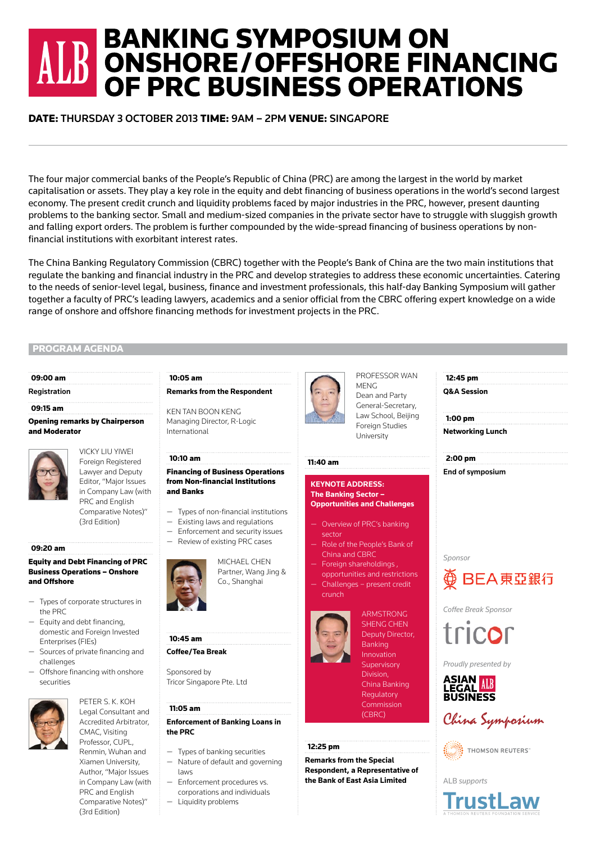# **BANKING SYMPOSIUM ON BE ONSHORE/OFFSHORE FINANCING** OF PRC BUSINESS OPERATIONS

### DATE: THURSDAY 3 OCTOBER 2013 TIME: 9AM – 2PM VENUE: SINGAPORE

The four major commercial banks of the People's Republic of China (PRC) are among the largest in the world by market capitalisation or assets. They play a key role in the equity and debt financing of business operations in the world's second largest economy. The present credit crunch and liquidity problems faced by major industries in the PRC, however, present daunting problems to the banking sector. Small and medium-sized companies in the private sector have to struggle with sluggish growth and falling export orders. The problem is further compounded by the wide-spread financing of business operations by nonfinancial institutions with exorbitant interest rates.

The China Banking Regulatory Commission (CBRC) together with the People's Bank of China are the two main institutions that regulate the banking and financial industry in the PRC and develop strategies to address these economic uncertainties. Catering to the needs of senior-level legal, business, finance and investment professionals, this half-day Banking Symposium will gather together a faculty of PRC's leading lawyers, academics and a senior official from the CBRC offering expert knowledge on a wide range of onshore and offshore financing methods for investment projects in the PRC.

#### PROGRAM AGENDA

#### 09:00 am

#### **Registration**

#### 09:15 am

#### Opening remarks by Chairperson and Moderator

VICKY LIU YIWEI Foreign Registered Lawyer and Deputy Editor, "Major Issues in Company Law (with PRC and English Comparative Notes)" (3rd Edition)

#### 09:20 am

#### Equity and Debt Financing of PRC Business Operations – Onshore and Offshore

- Types of corporate structures in the PRC
- Equity and debt financing, domestic and Foreign Invested Enterprises (FIEs)
- Sources of private financing and challenges
- Offshore financing with onshore securities



PETER S. K. KOH Legal Consultant and Accredited Arbitrator, CMAC, Visiting Professor, CUPL, Renmin, Wuhan and Xiamen University, Author, "Major Issues in Company Law (with PRC and English Comparative Notes)"

(3rd Edition)

#### 10:05 am **Remarks from the Respondent**

KEN TAN BOON KENG Managing Director, R-Logic International

## 10:10 am

#### Financing of Business Operations from Non-financial Institutions and Banks

- Types of non-financial institutions
- Existing laws and regulations
- Enforcement and security issues — Review of existing PRC cases
	-



MICHAEL CHEN Partner, Wang Jing & Co., Shanghai



#### **Coffee/Tea Break**

Sponsored by Tricor Singapore Pte. Ltd

#### 11:05 am

#### **Enforcement of Banking Loans in the PRC**

- Types of banking securities
- Nature of default and governing laws
- Enforcement procedures vs. corporations and individuals
- Liquidity problems



PROFESSOR WAN MENG Dean and Party General-Secretary, Law School, Beijing **Foreign Studies** University

#### 11:40 am

#### **KEYNOTE ADDRESS: The Banking Sector – Opportunities and Challenges**

- Overview of PRC's banking sector
- Role of the People's Bank of China and CBRC
- Foreign shareholdings , opportunities and restrictions
- Challenges present credit crunch



SHENG CHEN Deputy Director, Banking Innovation Supervisory Division, China Banking Regulatory Commission (CBRC)

ARMSTRONG

#### 12:25 pm

**Remarks from the Special Respondent, a Representative of the Bank of East Asia Limited**





## BEA東亞銀行

*Coffee Break Sponsor*



*Proudly presented by*





THOMSON REUTERS"